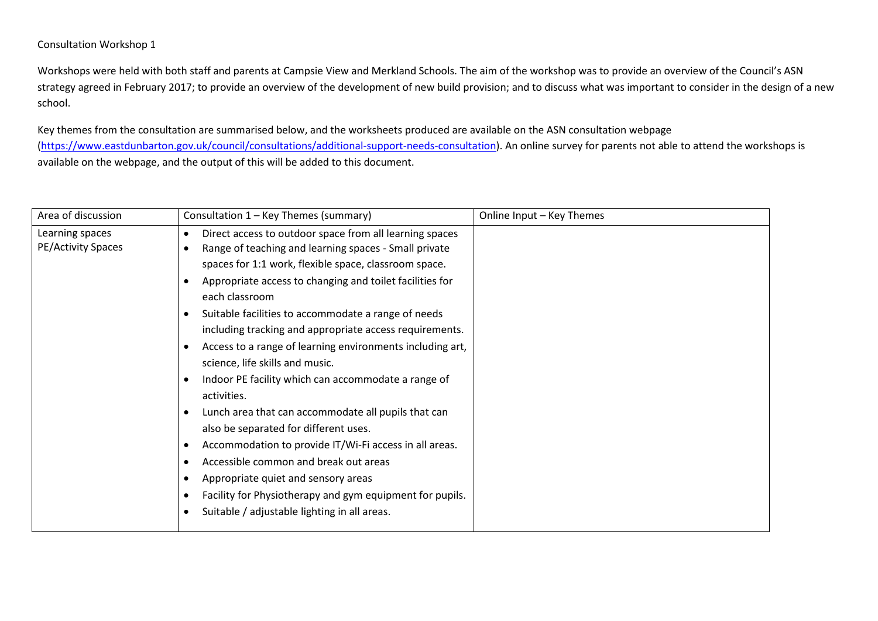## Consultation Workshop 1

Workshops were held with both staff and parents at Campsie View and Merkland Schools. The aim of the workshop was to provide an overview of the Council's ASN strategy agreed in February 2017; to provide an overview of the development of new build provision; and to discuss what was important to consider in the design of a new school.

Key themes from the consultation are summarised below, and the worksheets produced are available on the ASN consultation webpage [\(https://www.eastdunbarton.gov.uk/council/consultations/additional-support-needs-consultation\)](https://www.eastdunbarton.gov.uk/council/consultations/additional-support-needs-consultation). An online survey for parents not able to attend the workshops is available on the webpage, and the output of this will be added to this document.

| Area of discussion                    | Consultation 1 - Key Themes (summary)                                                                                                                                                                                                                                                                                                                                                                                                                                                                                                                                                                                                                                                                                                                                                                                                                                                                                                                                                        | Online Input - Key Themes |
|---------------------------------------|----------------------------------------------------------------------------------------------------------------------------------------------------------------------------------------------------------------------------------------------------------------------------------------------------------------------------------------------------------------------------------------------------------------------------------------------------------------------------------------------------------------------------------------------------------------------------------------------------------------------------------------------------------------------------------------------------------------------------------------------------------------------------------------------------------------------------------------------------------------------------------------------------------------------------------------------------------------------------------------------|---------------------------|
| Learning spaces<br>PE/Activity Spaces | Direct access to outdoor space from all learning spaces<br>$\bullet$<br>Range of teaching and learning spaces - Small private<br>$\bullet$<br>spaces for 1:1 work, flexible space, classroom space.<br>Appropriate access to changing and toilet facilities for<br>each classroom<br>Suitable facilities to accommodate a range of needs<br>٠<br>including tracking and appropriate access requirements.<br>Access to a range of learning environments including art,<br>$\bullet$<br>science, life skills and music.<br>Indoor PE facility which can accommodate a range of<br>٠<br>activities.<br>Lunch area that can accommodate all pupils that can<br>٠<br>also be separated for different uses.<br>Accommodation to provide IT/Wi-Fi access in all areas.<br>٠<br>Accessible common and break out areas<br>٠<br>Appropriate quiet and sensory areas<br>٠<br>Facility for Physiotherapy and gym equipment for pupils.<br>٠<br>Suitable / adjustable lighting in all areas.<br>$\bullet$ |                           |
|                                       |                                                                                                                                                                                                                                                                                                                                                                                                                                                                                                                                                                                                                                                                                                                                                                                                                                                                                                                                                                                              |                           |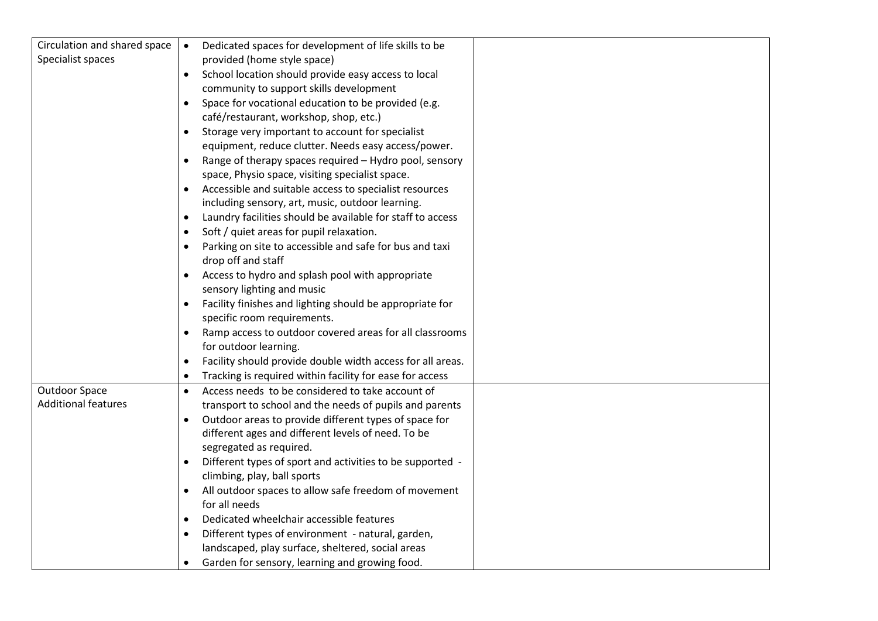| Circulation and shared space | Dedicated spaces for development of life skills to be                   |  |
|------------------------------|-------------------------------------------------------------------------|--|
| Specialist spaces            | provided (home style space)                                             |  |
|                              | School location should provide easy access to local                     |  |
|                              | community to support skills development                                 |  |
|                              | Space for vocational education to be provided (e.g.<br>$\bullet$        |  |
|                              | café/restaurant, workshop, shop, etc.)                                  |  |
|                              | Storage very important to account for specialist<br>$\bullet$           |  |
|                              | equipment, reduce clutter. Needs easy access/power.                     |  |
|                              | Range of therapy spaces required - Hydro pool, sensory                  |  |
|                              | space, Physio space, visiting specialist space.                         |  |
|                              | Accessible and suitable access to specialist resources                  |  |
|                              | including sensory, art, music, outdoor learning.                        |  |
|                              | Laundry facilities should be available for staff to access<br>$\bullet$ |  |
|                              | Soft / quiet areas for pupil relaxation.<br>$\bullet$                   |  |
|                              | Parking on site to accessible and safe for bus and taxi                 |  |
|                              | drop off and staff                                                      |  |
|                              | Access to hydro and splash pool with appropriate<br>$\bullet$           |  |
|                              | sensory lighting and music                                              |  |
|                              | Facility finishes and lighting should be appropriate for<br>$\bullet$   |  |
|                              | specific room requirements.                                             |  |
|                              | Ramp access to outdoor covered areas for all classrooms<br>$\bullet$    |  |
|                              | for outdoor learning.                                                   |  |
|                              | Facility should provide double width access for all areas.<br>$\bullet$ |  |
|                              | Tracking is required within facility for ease for access<br>$\bullet$   |  |
| <b>Outdoor Space</b>         | Access needs to be considered to take account of<br>$\bullet$           |  |
| <b>Additional features</b>   | transport to school and the needs of pupils and parents                 |  |
|                              | Outdoor areas to provide different types of space for<br>$\bullet$      |  |
|                              | different ages and different levels of need. To be                      |  |
|                              | segregated as required.                                                 |  |
|                              | Different types of sport and activities to be supported -<br>$\bullet$  |  |
|                              | climbing, play, ball sports                                             |  |
|                              | All outdoor spaces to allow safe freedom of movement                    |  |
|                              | for all needs                                                           |  |
|                              | Dedicated wheelchair accessible features<br>$\bullet$                   |  |
|                              | Different types of environment - natural, garden,<br>$\bullet$          |  |
|                              | landscaped, play surface, sheltered, social areas                       |  |
|                              | Garden for sensory, learning and growing food.                          |  |